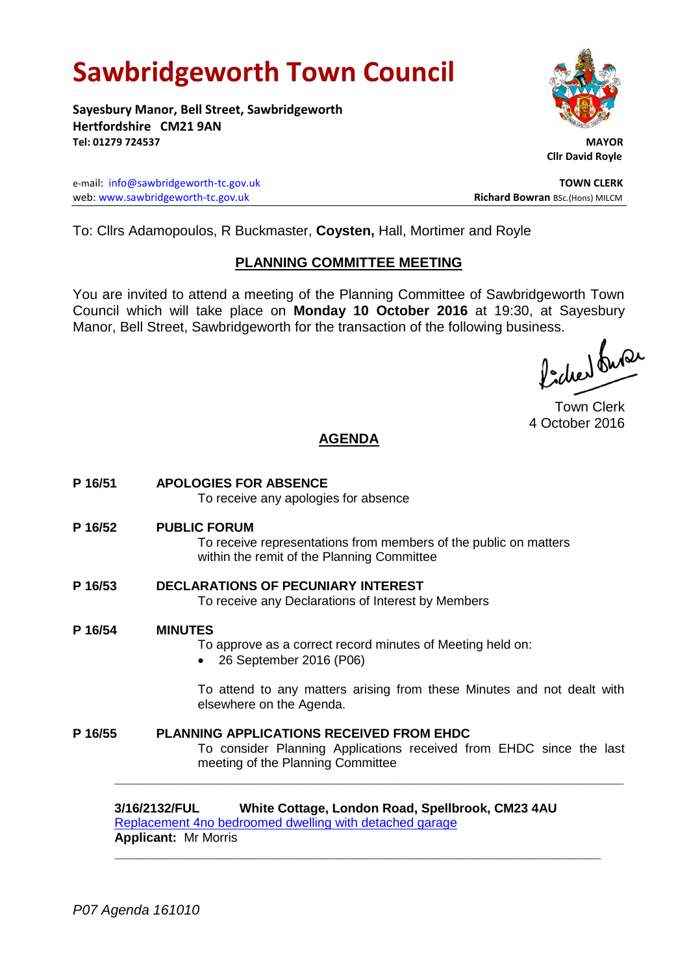# **Sawbridgeworth Town Council**

**Sayesbury Manor, Bell Street, Sawbridgeworth Hertfordshire CM21 9AN Tel: 01279 724537 MAYOR**

e-mail: [info@sawbridgeworth-tc.gov.uk](mailto:info@sawbridgeworth-tc.gov.uk) **TOWN CLERK** web: www.sawbridgeworth-tc.gov.uk<br>
Richard Bowran BSc.(Hons) MILCM

 **Cllr David Royle**

To: Cllrs Adamopoulos, R Buckmaster, **Coysten,** Hall, Mortimer and Royle

#### **PLANNING COMMITTEE MEETING**

You are invited to attend a meeting of the Planning Committee of Sawbridgeworth Town Council which will take place on **Monday 10 October 2016** at 19:30, at Sayesbury Manor, Bell Street, Sawbridgeworth for the transaction of the following business.<br>  $\Lambda$ ,  $\Lambda$ ,  $\Lambda$ ,  $\Omega$ 

Town Clerk 4 October 2016

### **AGENDA**

**P 16/51 APOLOGIES FOR ABSENCE** To receive any apologies for absence **P 16/52 PUBLIC FORUM** To receive representations from members of the public on matters within the remit of the Planning Committee **P 16/53 DECLARATIONS OF PECUNIARY INTEREST** To receive any Declarations of Interest by Members **P 16/54 MINUTES** To approve as a correct record minutes of Meeting held on: 26 September 2016 (P06) To attend to any matters arising from these Minutes and not dealt with elsewhere on the Agenda. **P 16/55 PLANNING APPLICATIONS RECEIVED FROM EHDC** To consider Planning Applications received from EHDC since the last meeting of the Planning Committee **\_\_\_\_\_\_\_\_\_\_\_\_\_\_\_\_\_\_\_\_\_\_\_\_\_\_\_\_\_\_\_\_\_\_\_\_\_\_\_\_\_\_\_\_\_\_\_\_\_\_\_\_\_\_\_\_\_\_\_\_\_\_\_\_\_\_ 3/16/2132/FUL White Cottage, London Road, Spellbrook, CM23 4AU**

[Replacement 4no bedroomed dwelling with detached garage](https://publicaccess.eastherts.gov.uk/online-applications/applicationDetails.do?activeTab=summary&keyVal=ODRB4LGLLH500) **Applicant:** Mr Morris **\_\_\_\_\_\_\_\_\_\_\_\_\_\_\_\_\_\_\_\_\_\_\_\_\_\_\_\_\_\_\_\_\_\_\_\_\_\_\_\_\_\_\_\_\_\_\_\_\_\_\_\_\_\_\_\_\_\_\_\_\_\_\_**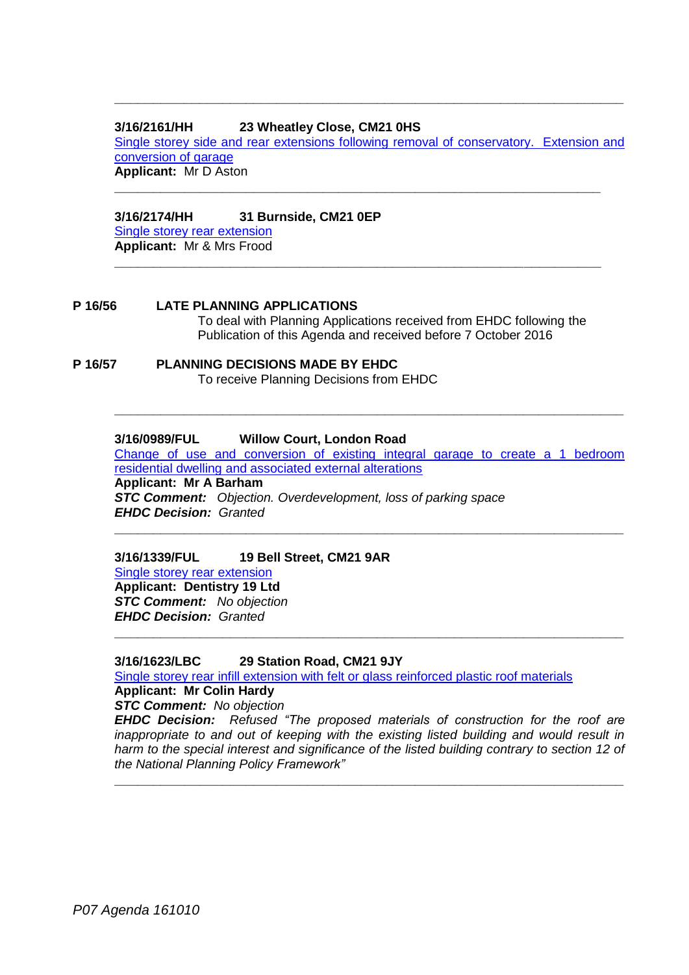#### **3/16/2161/HH 23 Wheatley Close, CM21 0HS**

[Single storey side and rear extensions following removal of conservatory. Extension and](https://publicaccess.eastherts.gov.uk/online-applications/applicationDetails.do?activeTab=summary&keyVal=ODUJN3GL00X00)  [conversion of garage](https://publicaccess.eastherts.gov.uk/online-applications/applicationDetails.do?activeTab=summary&keyVal=ODUJN3GL00X00) **Applicant:** Mr D Aston

**\_\_\_\_\_\_\_\_\_\_\_\_\_\_\_\_\_\_\_\_\_\_\_\_\_\_\_\_\_\_\_\_\_\_\_\_\_\_\_\_\_\_\_\_\_\_\_\_\_\_\_\_\_\_\_\_\_\_\_\_\_\_\_**

**\_\_\_\_\_\_\_\_\_\_\_\_\_\_\_\_\_\_\_\_\_\_\_\_\_\_\_\_\_\_\_\_\_\_\_\_\_\_\_\_\_\_\_\_\_\_\_\_\_\_\_\_\_\_\_\_\_\_\_\_\_\_\_**

**\_\_\_\_\_\_\_\_\_\_\_\_\_\_\_\_\_\_\_\_\_\_\_\_\_\_\_\_\_\_\_\_\_\_\_\_\_\_\_\_\_\_\_\_\_\_\_\_\_\_\_\_\_\_\_\_\_\_\_\_\_\_\_\_\_\_**

#### **3/16/2174/HH 31 Burnside, CM21 0EP**

[Single storey rear extension](https://publicaccess.eastherts.gov.uk/online-applications/applicationDetails.do?activeTab=summary&keyVal=ODWJX7GLLJ400) **Applicant:** Mr & Mrs Frood

## **P 16/56 LATE PLANNING APPLICATIONS**

To deal with Planning Applications received from EHDC following the Publication of this Agenda and received before 7 October 2016

#### **P 16/57 PLANNING DECISIONS MADE BY EHDC** To receive Planning Decisions from EHDC

#### **3/16/0989/FUL Willow Court, London Road**

[Change of use and conversion of existing integral garage to create a 1 bedroom](https://publicaccess.eastherts.gov.uk/online-applications/applicationDetails.do?activeTab=summary&keyVal=O68MOFGLJNH00)  [residential dwelling and associated external alterations](https://publicaccess.eastherts.gov.uk/online-applications/applicationDetails.do?activeTab=summary&keyVal=O68MOFGLJNH00) **Applicant: Mr A Barham**  *STC Comment: Objection. Overdevelopment, loss of parking space*

**\_\_\_\_\_\_\_\_\_\_\_\_\_\_\_\_\_\_\_\_\_\_\_\_\_\_\_\_\_\_\_\_\_\_\_\_\_\_\_\_\_\_\_\_\_\_\_\_\_\_\_\_\_\_\_\_\_\_\_\_\_\_\_\_\_\_**

**\_\_\_\_\_\_\_\_\_\_\_\_\_\_\_\_\_\_\_\_\_\_\_\_\_\_\_\_\_\_\_\_\_\_\_\_\_\_\_\_\_\_\_\_\_\_\_\_\_\_\_\_\_\_\_\_\_\_\_\_\_\_\_\_\_\_**

**\_\_\_\_\_\_\_\_\_\_\_\_\_\_\_\_\_\_\_\_\_\_\_\_\_\_\_\_\_\_\_\_\_\_\_\_\_\_\_\_\_\_\_\_\_\_\_\_\_\_\_\_\_\_\_\_\_\_\_\_\_\_\_\_\_\_**

*EHDC Decision: Granted*

#### **3/16/1339/FUL 19 Bell Street, CM21 9AR**

Single storey [rear extension](https://publicaccess.eastherts.gov.uk/online-applications/applicationDetails.do?activeTab=summary&keyVal=O8I3YVGLK8G00) **Applicant: Dentistry 19 Ltd**  *STC Comment: No objection EHDC Decision: Granted*

#### **3/16/1623/LBC 29 Station Road, CM21 9JY**

[Single storey rear infill extension with felt or glass reinforced plastic roof materials](https://publicaccess.eastherts.gov.uk/online-applications/applicationDetails.do?activeTab=summary&keyVal=OACV91GL00B00)

**Applicant: Mr Colin Hardy**

*STC Comment: No objection*

*EHDC Decision: Refused "The proposed materials of construction for the roof are*  inappropriate to and out of keeping with the existing listed building and would result in *harm to the special interest and significance of the listed building contrary to section 12 of the National Planning Policy Framework"*

**\_\_\_\_\_\_\_\_\_\_\_\_\_\_\_\_\_\_\_\_\_\_\_\_\_\_\_\_\_\_\_\_\_\_\_\_\_\_\_\_\_\_\_\_\_\_\_\_\_\_\_\_\_\_\_\_\_\_\_\_\_\_\_\_\_\_**